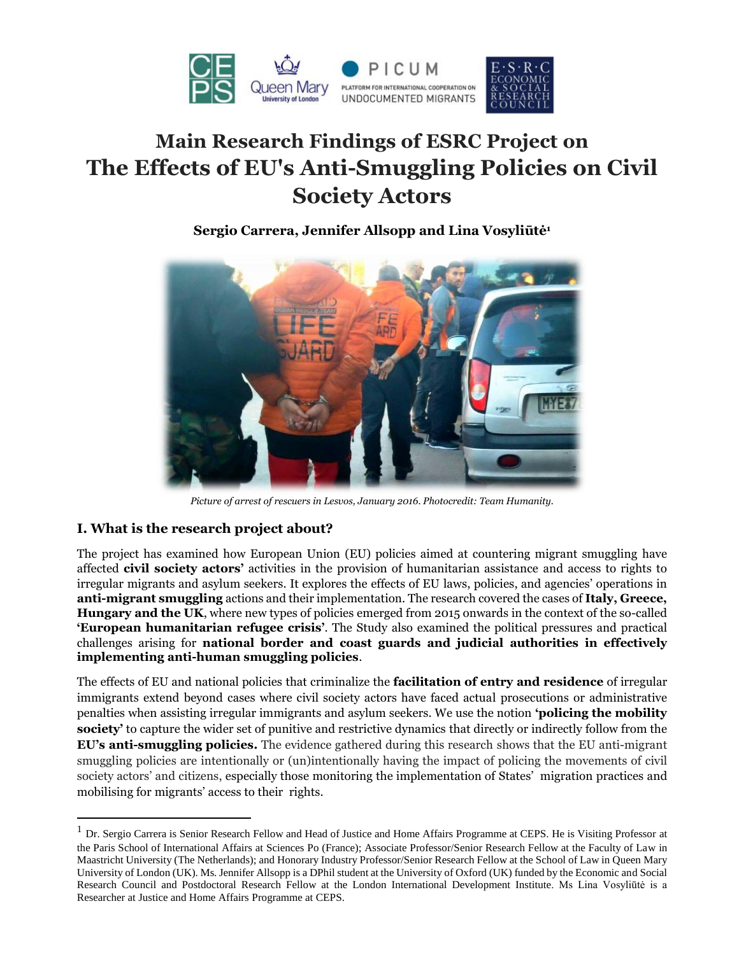

# **Main Research Findings of ESRC Project on The Effects of EU's Anti-Smuggling Policies on Civil Society Actors**

# **Sergio Carrera, Jennifer Allsopp and Lina Vosyliūtė<sup>1</sup>**



*Picture of arrest of rescuers in Lesvos, January 2016. Photocredit: Team Humanity.*

# **I. What is the research project about?**

 $\overline{\phantom{a}}$ 

The project has examined how European Union (EU) policies aimed at countering migrant smuggling have affected **civil society actors'** activities in the provision of humanitarian assistance and access to rights to irregular migrants and asylum seekers. It explores the effects of EU laws, policies, and agencies' operations in **anti-migrant smuggling** actions and their implementation. The research covered the cases of **Italy, Greece, Hungary and the UK**, where new types of policies emerged from 2015 onwards in the context of the so-called **'European humanitarian refugee crisis'**. The Study also examined the political pressures and practical challenges arising for **national border and coast guards and judicial authorities in effectively implementing anti-human smuggling policies**.

The effects of EU and national policies that criminalize the **facilitation of entry and residence** of irregular immigrants extend beyond cases where civil society actors have faced actual prosecutions or administrative penalties when assisting irregular immigrants and asylum seekers. We use the notion **'policing the mobility society'** to capture the wider set of punitive and restrictive dynamics that directly or indirectly follow from the **EU's anti-smuggling policies.** The evidence gathered during this research shows that the EU anti-migrant smuggling policies are intentionally or (un)intentionally having the impact of policing the movements of civil society actors' and citizens, especially those monitoring the implementation of States' migration practices and mobilising for migrants' access to their rights.

<sup>&</sup>lt;sup>1</sup> Dr. Sergio Carrera is Senior Research Fellow and Head of Justice and Home Affairs Programme at CEPS. He is Visiting Professor at the Paris School of International Affairs at Sciences Po (France); Associate Professor/Senior Research Fellow at the Faculty of Law in Maastricht University (The Netherlands); and Honorary Industry Professor/Senior Research Fellow at the School of Law in Queen Mary University of London (UK). Ms. Jennifer Allsopp is a DPhil student at the University of Oxford (UK) funded by the Economic and Social Research Council and Postdoctoral Research Fellow at the London International Development Institute. Ms Lina Vosyliūtė is a Researcher at Justice and Home Affairs Programme at CEPS.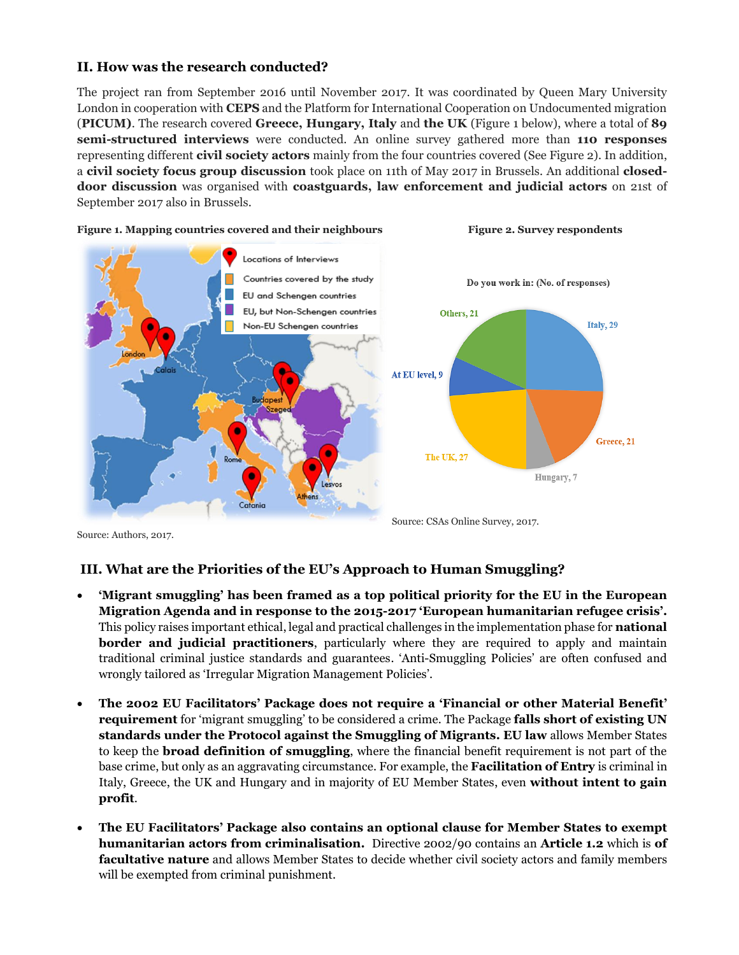#### **II. How was the research conducted?**

The project ran from September 2016 until November 2017. It was coordinated by Queen Mary University London in cooperation with **CEPS** and the Platform for International Cooperation on Undocumented migration (**PICUM)**. The research covered **Greece, Hungary, Italy** and **the UK** (Figure 1 below), where a total of **89 semi-structured interviews** were conducted. An online survey gathered more than **110 responses** representing different **civil society actors** mainly from the four countries covered (See Figure 2). In addition, a **civil society focus group discussion** took place on 11th of May 2017 in Brussels. An additional **closeddoor discussion** was organised with **coastguards, law enforcement and judicial actors** on 21st of September 2017 also in Brussels.



Source: Authors, 2017.

Source: CSAs Online Survey, 2017.

# **III. What are the Priorities of the EU's Approach to Human Smuggling?**

- **'Migrant smuggling' has been framed as a top political priority for the EU in the European Migration Agenda and in response to the 2015-2017 'European humanitarian refugee crisis'.** This policy raises important ethical, legal and practical challenges in the implementation phase for **national border and judicial practitioners**, particularly where they are required to apply and maintain traditional criminal justice standards and guarantees. 'Anti-Smuggling Policies' are often confused and wrongly tailored as 'Irregular Migration Management Policies'.
- **The 2002 EU Facilitators' Package does not require a 'Financial or other Material Benefit' requirement** for 'migrant smuggling' to be considered a crime. The Package **falls short of existing UN standards under the Protocol against the Smuggling of Migrants. EU law** allows Member States to keep the **broad definition of smuggling**, where the financial benefit requirement is not part of the base crime, but only as an aggravating circumstance. For example, the **Facilitation of Entry** is criminal in Italy, Greece, the UK and Hungary and in majority of EU Member States, even **without intent to gain profit**.
- **The EU Facilitators' Package also contains an optional clause for Member States to exempt humanitarian actors from criminalisation.** Directive 2002/90 contains an **Article 1.2** which is **of facultative nature** and allows Member States to decide whether civil society actors and family members will be exempted from criminal punishment.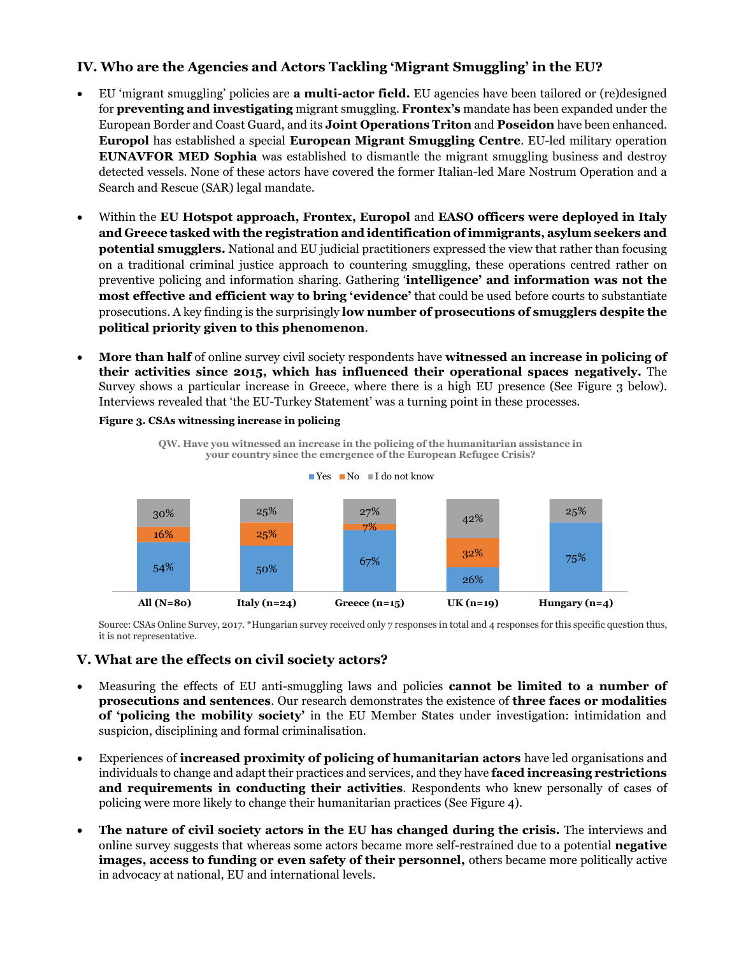# **IV. Who are the Agencies and Actors Tackling 'Migrant Smuggling' in the EU?**

- EU 'migrant smuggling' policies are **a multi-actor field.** EU agencies have been tailored or (re)designed for **preventing and investigating** migrant smuggling. **Frontex's** mandate has been expanded under the European Border and Coast Guard, and its **Joint Operations Triton** and **Poseidon** have been enhanced. **Europol** has established a special **European Migrant Smuggling Centre**. EU-led military operation **EUNAVFOR MED Sophia** was established to dismantle the migrant smuggling business and destroy detected vessels. None of these actors have covered the former Italian-led Mare Nostrum Operation and a Search and Rescue (SAR) legal mandate.
- Within the **EU Hotspot approach, Frontex, Europol** and **EASO officers were deployed in Italy and Greece tasked with the registration and identification of immigrants, asylum seekers and potential smugglers.** National and EU judicial practitioners expressed the view that rather than focusing on a traditional criminal justice approach to countering smuggling, these operations centred rather on preventive policing and information sharing. Gathering '**intelligence' and information was not the most effective and efficient way to bring 'evidence'** that could be used before courts to substantiate prosecutions. A key finding is the surprisingly **low number of prosecutions of smugglers despite the political priority given to this phenomenon**.
- **More than half** of online survey civil society respondents have **witnessed an increase in policing of their activities since 2015, which has influenced their operational spaces negatively.** The Survey shows a particular increase in Greece, where there is a high EU presence (See Figure 3 below). Interviews revealed that 'the EU-Turkey Statement' was a turning point in these processes.

#### **Figure 3. CSAs witnessing increase in policing**



**QW. Have you witnessed an increase in the policing of the humanitarian assistance in** 



26%

it is not representative.

#### **V. What are the effects on civil society actors?**

54% 50% 67%

- Measuring the effects of EU anti-smuggling laws and policies **cannot be limited to a number of prosecutions and sentences**. Our research demonstrates the existence of **three faces or modalities of 'policing the mobility society'** in the EU Member States under investigation: intimidation and suspicion, disciplining and formal criminalisation.
- Experiences of **increased proximity of policing of humanitarian actors** have led organisations and individuals to change and adapt their practices and services, and they have **faced increasing restrictions and requirements in conducting their activities**. Respondents who knew personally of cases of policing were more likely to change their humanitarian practices (See Figure 4).
- **The nature of civil society actors in the EU has changed during the crisis.** The interviews and online survey suggests that whereas some actors became more self-restrained due to a potential **negative images, access to funding or even safety of their personnel,** others became more politically active in advocacy at national, EU and international levels.